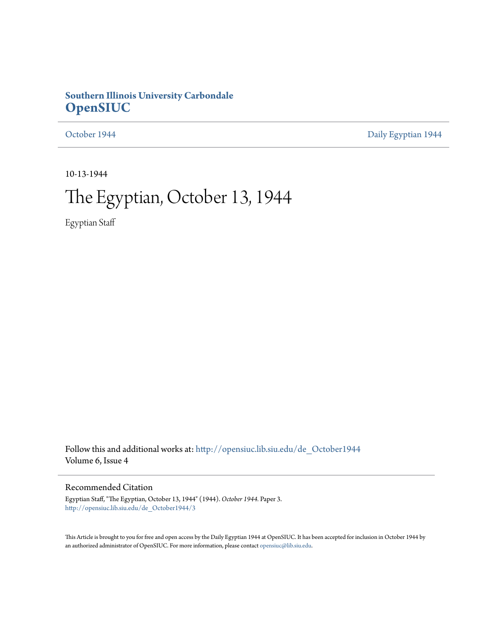### **Southern Illinois University Carbondale [OpenSIUC](http://opensiuc.lib.siu.edu?utm_source=opensiuc.lib.siu.edu%2Fde_October1944%2F3&utm_medium=PDF&utm_campaign=PDFCoverPages)**

[October 1944](http://opensiuc.lib.siu.edu/de_October1944?utm_source=opensiuc.lib.siu.edu%2Fde_October1944%2F3&utm_medium=PDF&utm_campaign=PDFCoverPages) **[Daily Egyptian 1944](http://opensiuc.lib.siu.edu/de_1944?utm_source=opensiuc.lib.siu.edu%2Fde_October1944%2F3&utm_medium=PDF&utm_campaign=PDFCoverPages)** 

10-13-1944

# The Egyptian, October 13, 1944

Egyptian Staff

Follow this and additional works at: [http://opensiuc.lib.siu.edu/de\\_October1944](http://opensiuc.lib.siu.edu/de_October1944?utm_source=opensiuc.lib.siu.edu%2Fde_October1944%2F3&utm_medium=PDF&utm_campaign=PDFCoverPages) Volume 6, Issue 4

#### Recommended Citation

Egyptian Staff, "The Egyptian, October 13, 1944" (1944). *October 1944.* Paper 3. [http://opensiuc.lib.siu.edu/de\\_October1944/3](http://opensiuc.lib.siu.edu/de_October1944/3?utm_source=opensiuc.lib.siu.edu%2Fde_October1944%2F3&utm_medium=PDF&utm_campaign=PDFCoverPages)

This Article is brought to you for free and open access by the Daily Egyptian 1944 at OpenSIUC. It has been accepted for inclusion in October 1944 by an authorized administrator of OpenSIUC. For more information, please contact [opensiuc@lib.siu.edu.](mailto:opensiuc@lib.siu.edu)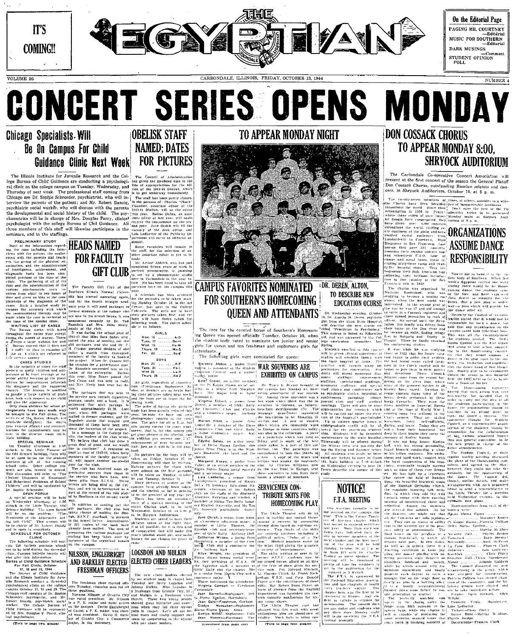

# **CONCERT SERIES OPENS MONDAY OBELISK STAFF**

### **Chicago Specialists. Will** Be On Campus For Child Guidance Clinic Next Week

The Illinois Institute for Juvenile Research and the College Bureau of Child Guidance are conducting a psychological clinic on the college campus on Tuesday, Wednesday, and The professional staff coming from Thursday of next week. are Dr. Sophie Schroeder, psychiatrist, who will in-<br>the parents of the patient; and Mr. Robert Danzig, problem on the parents of the parents of the parents the developmental and social history of the child. The psychometries will be in charge of Mrs. Douglas Parry, clinical<br>psychologist with the college Bureau of Chil Guidance. All mhers of this staff will likewise participate minars, and in the staffings.

of the incorner of the particle of the line of the particle of the particle of the particle of the particle of the particle of the particle of the particle of the particle of the particle of the particle of the particle o PRELIMINARY STUDY strution of the

PEN FORUN

FOR OCTOBER

hild Guidance Schedule

## **NAMED: DATES FOR PICTURES**

**GIFT CLUB** 

BOYS

uthern Illinois Normal Univer has started operating again

GIRLS Wed. 1

**FOR FACULTY** 

NILSSON. ENGLEBRIGHT

### **FRESHMAN OFFICERS**

City

**LOGSDON AND MULKIN** AND BARKLEY ELECTED ELECTED CHEER LEADERS

### TO APPEAR MONDAY NIGHT

#### **CAMPUS FAVORITES NOMINATED DR. DEREN, ALTON.** TO DESCRIBE NEW **FOR SOUTHERN'S HOMECOMING QUEEN AND ATTENDANTS**

The three for the coveted honor of Southern's Home ng Queen was opened officially Tuesday, October 10, when the student body voted to nominate ten junior and senior girls for queen and ten freshman and sophomore girls

The following girls were nominated for queen

**Slorence Alston, a junior from: WAR SOUVENIRS ARE** Council and a number! EXHIBITED ON CAMPUS

SERVICEMEN CON-TRIBUTE SKITS FOR

### **DON COSSACK CHORUS** TO APPEAR MONDAY 8:00. **SHRYOCK AUDITORIUM**

The Carbondale Co-operative Concert Association will<br>present at the first concert of the season the General Platoff present at the max concert of the season one sentent entro.<br>Don Cossack Chorus, outstanding Russian soloists and dan<br>cers, in Shryock Auditorium, October 16, at 8 p.m.

**EDUCATION OCURSE** 

**ASSUME DANCE RESPONSIBILITY** 

HOMECOMING PLAY

**NOTICE! F.T.A. MEETING** 



ORGANIZATIONS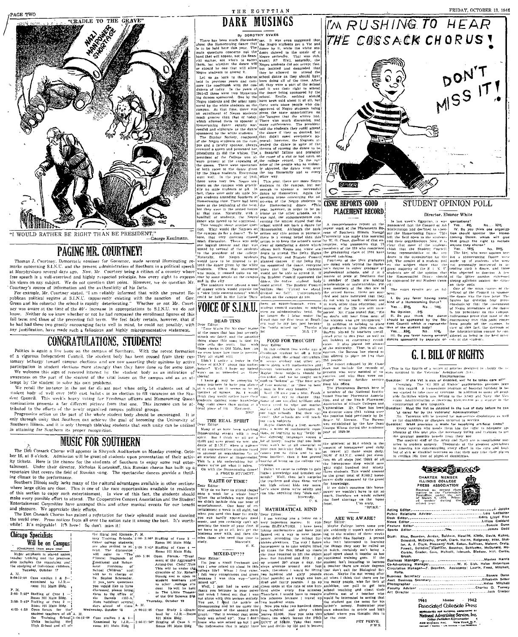

"I WOULD RATHER BE RIGHT THAN BE PRESIDENT. -.<br>-George Kaufmann

#### **PAGING MR. COURTNEY!**

Thomas J. Courtney. Democratic nomines for Governor, made several illuminating re-<br>marks concerning S.I.N.U. and the present administration of Southern in a political speech<br>at Murphysloor several days ago. Now, Mr. Courtn his views on any subject. We do not question that point. However, we do question Mr. Courtney's source of information and the authenticity of his facts.

For example, Mr. Courtney stated. "I am eliably informed that with the present Re-<br>publican political regime at S.L.N.U. (apparently existing with the sanction of Gov.<br>Green and his cohorts) the school is rapidly determine know. Neither do we know whether or not he had compared the enrollment figures of this fall term and those of the preceding fall term. We feel fairly certain, however, that if he had had these two greatly encouraging facts well in mind, he could not possibly, with any justification, have made such a fallacious and highly misrepresentative statement.

#### **CONGRATULATIONS, STUDENTS!**

Politics is again a live issue on the campus of Southern. With the recent formation of a vigorous Independent Council, the student body has been roused from their customary lethargy toward campus elections and are now asserting their opinions by active participation in student elections more strongly than they have done so for some time, We welcome this sign of renewed interest by the awareness on the part of the student of the vital issues on the campus and as an attempt by the student to solve his own problems.

We recall the instance in the not far dia ant past when only 14 students out of a student hody of well over 1000 cast ballots in an election to fill vacancies on the Student flood of well over 1000 cast ballots in an elect nominations presents a far different picture from that one. This increase can be at-<br>tributed to the efforts of the newly organized campus political groups.

a matter to the entries on the part of the whole student body should be encouraged. It is<br>more than the part of the whole student body should be encouraged. It is<br>my through mity that Southern can achieve the goal of becom Southern Hilnois, and it is only through thinking students that such unity can be utilized  $\begin{bmatrix} \text{Dec} \\ \text{Meas} \end{bmatrix}$  .

#### **MUSIC FOR SOUTHERN**

The Don Cossack Chorus will appeaer in Shryock Auditorium on Monday evening. October 16, at 8 o'clock. Admission will be granted students upon presentation of their activity tickets. Here is the chance for the students of Southern to enjoy some real enter-Under their director, Nicholas Kostrukoff, this Russian chorus has built up a tainment. repertoire that covers the field of Russian song. The spectacular dances provide a thrilling climax to the performance.

Southern Illinois sadly lacks many of the cultural advantages available in other sections where large cities are close. This is one of the rare opportunities available to residents of this section to enjoy such entertainment. In view of this fact, the students should make every possible effort to attend. The Cooperative Concert Association and the Studen Entertainment Committee have arranged this and other musical events for our benefit and pleasure. We appreciate their efforts.

The Don Cossack Chorus has gained a reputation for their splendid music and dancing the world over. Press notices from all over the nation rate it among the best. It's worth.<br>while! It's enjoyable! It's here! So don't miss it!

| Chicago Specialists<br>Will be on Campus<br>(Continued trom page ano)                                                                                                                                                                                                                                                                                                                                                                                                                                                                                            | the Rural and Elemen-, P. M.<br>tary Training Schools, 2:00- 3:00* Staffing of Case 3<br>Other college students:<br>are also invited to at 3:00 3:45* Staffing of Case 4<br>tend. The discussion -                                                                                                                                                                                                                                                                                                                                   | Room 101 Main Bldg<br>Room 101 Muin Bldg                                                                                                                                                                                                                                                                                                                                          |
|------------------------------------------------------------------------------------------------------------------------------------------------------------------------------------------------------------------------------------------------------------------------------------------------------------------------------------------------------------------------------------------------------------------------------------------------------------------------------------------------------------------------------------------------------------------|--------------------------------------------------------------------------------------------------------------------------------------------------------------------------------------------------------------------------------------------------------------------------------------------------------------------------------------------------------------------------------------------------------------------------------------------------------------------------------------------------------------------------------------|-----------------------------------------------------------------------------------------------------------------------------------------------------------------------------------------------------------------------------------------------------------------------------------------------------------------------------------------------------------------------------------|
| Major emphasis is placed uppon;<br>teacher training and the program.<br>also includes the examining and!<br>the studying of individual children.'<br>Tucsday, October 17<br>A. M.<br>9:00-12:00 Case studies 1 & 2-<br>examined by $1.3.R.$ -<br>room 101 Main Bldg.<br>P. M.<br>$2:06-2:55$ * Staffing of Case 1 -:<br>Room 101 Main Bldg. .<br>3:00-3:45* Staffing of Case 2 --?<br>Room 101 Main Bidg. i<br>4:00-4:50 Open forum for the<br>student teachers of all A. M.<br>the Training School's:00-12:00<br>Units including the<br>High School and all of- | will refer to "The 400-5:00<br>Clinical Diagnosis of<br>Emotional and Beliav-<br>ioral Problems<br>٥ť<br>School Children" and:<br>will be in charge of<br>Dr. Sophie Schroeder.<br>if you have questions<br>you would like to have<br>discussed, piease bringi<br>them to the office of<br>Bureau (101-A.<br>the <b>state</b><br>Main building) several:<br>days ahead of time. A. M.<br>Wednesday, October 18<br>Case studies $3 \& 4$ -<br>Examined by $1.1.R. = 1:00.11:50$ <sup>*</sup> Staging of Case 5<br>room 101 Main Bldg. | Open Forum, "Trea<br>ment of the Aggressi<br>Acting-Out Child".TI<br>This will be under t<br>direction of Mr. Rob<br>Danzig and is open<br>student teachers a<br>to other .college a<br>dent. Its will be he<br>in The Little Thear<br>of the Old Science B<br>Thursday, October 19<br>13:00-11:00 Case Study 5 -Exa<br>ined by 1.J.R.-Ro<br>101 Main Bldg.<br>Room 101 Main Bldg |

#### THE EGYPTIAN **DARK MUSINGS**





A PROCED FITCHES 1. The latter of particle in the latter of a strength of the set of the set of the set of the set of the set of the set of the set of the set of the set of the set of the set of the set of the set of the



Form Europa Content Content Content Content Content Content Content Content Content Content Content Content Content Content Content Content Content Content Content Content Content Content Content Content Content Content Co

1941 Member **Pissociated Collegiate Press** Apple state of MARONIA ASSEMBLY OF MARON ASSEMBLY SCHELAR TO College Publishers Representative

1942

FRIDAY, OCTOBER 13, 1944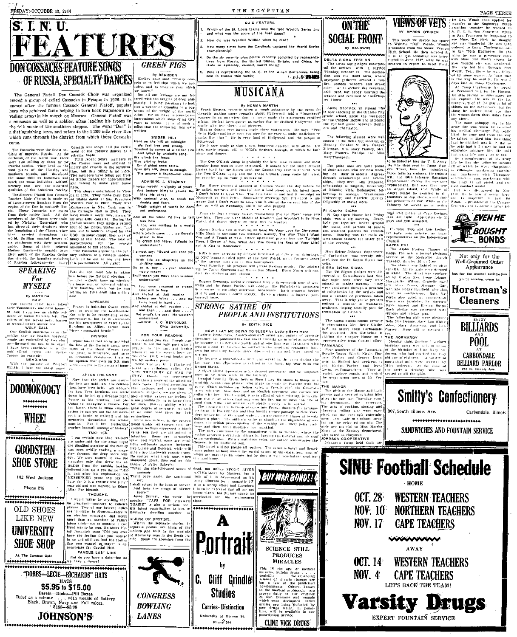### **S. I. N. U.** FEATURES **DON COSSACKS FEATURE SONGS** OF RUSSIA, SPECIALTY DANCES Shelley

FRIDAY, OCTOBER 13, 1944

**IF RUDDIH, DF EUIHE171 D'ANUELO** per karen de la conservat de la conservat de la conservat de la conservat de la conservat de la conservat de la conservat de la conservat de la conservat de la conservat de la conservat d a distinguishing term, and refers to the 1,200 mile river Don<br>which runs through the district from which these Cossacks

which runs through the district from which these Cossacks<br>
cone.<br>
The Cossacks were the finest sol-  $^{[0.064]}_{[0.016]}$  of the section<br>  $T_{\rm B}$  to consider the finest sol-<br>  $^{[0.066]}$  considers and the excitering final of

**SPEAKING** Fate did not cheat fair in taking<br>him hefore the National election.<br>the died without knowing whether<br>his horse won or not—and without<br>OUI knowing which one he was

For **MYSELF** 



**FAMOUS LAST LINE** .<br>Not do you have a date-but d<br>we have a dance? \*\*\*\*\*\*\*\*\*\*\*\*\*\*\*\*\*\*\*\*\*\*\*\*\*\*\*\*

\$5.95 to \$15.00





............<br>»rirten: ple in Hollywood base

SNIDER HILL Note that it is a structure in the structure of the structure of the structure of the structure of the structure of the structure of the structure of the structure of the structure of the structure of the structure of the

ADVISING A STUDENT .<br>Wrap myself in dignity of ye<br>And lecture him(He vawns hind his band)

Mine counsel wise, to .<br>With counsel wise, to .<br>doubts and fears,<br>"Neath weight of words<br>not understand, ...

nd all the while I'd like him how<br>I, too, was restless in<br>Refore youth came... to

p greed and hatred<br>understand?)

concernation:<br>
content<br>
content:<br>
content:<br>
with life as shapeless as the<br>
shifting sand.<br>
a b it, boy . . . your blunders<br>
mobly metant<br>
mobly metant wisdom<br>
mobly metant wisdom

un temas you<br>understand? the anne descarat

**MYSELF**<br>
BY ANTICON DEVICE CONTROL DEVICE AND THE CARE CONTROLL DEVELOP IN THE CARE TOWARD IN THE CARE INTO A CONTROLL DEVELOP IN THE CARE INTO A CONTROLL DEVICE AND THE CARE INTO A CONTROLL DEVICE CONTROLL DEVICE AND TH tions have been finded to the Gate of the Box 12 and the studies of the studies of the Box 12 and the studies of the Studies of the Studies of the Studies of the Studies of the Studies of the Studies of the Studies of the

**CONGRESS** 

**BOWLING** 

**LANES** 

are it column in Notewo--there is [Kentucky, dwelling together in<br>
an election compating that useds<br>
now than a ancedote of Palis's ALUMN (VP DESTINY).<br>
Here then an ancedote of Palis's film (Point are presented as the pr

Portrait **SCIENCE STILL PRODUCES MIRACLES WIRACLES**<br> **EXECUTE:**<br> **EXECUTE:**<br> **EXECUTE:**<br> **EXECUTE:**<br> **EXECUTE:**<br> **EXECUTE:**<br> **EXECUTE:**<br> **EXECUTE:**<br> **EXECUTE:**<br> **EXECUTE:**<br> **EXECUTE:**<br> **EXECUTE:**<br> **EXECUTE:**<br> **EXECUTE:**<br> **EXECUTE:**<br> **EXECUTE:**<br> **EXECUTE:**<br> **EXEC C. Cliff Grindles** 

**Studios** 

Carries - Distinction

University at Monroe St

Phone 344

## **ON THE** BY MYROM.<br>
This week we devote our space<br>
to William "Bill" Woods. Woods<br>
High School He then enter-<br>
High School He then enter-<br>
I. F. N. U. bis schooling was liter-<br>
ingred in June 1912, when he was<br>
" to report to Scott **SOCIAL FRONT**

THE EGYPTIAN

QUIZ FEATURE

Do the sir security plan points, recently compiled by represe<br>tives from Russia, the United States. Britain, and China,<br>clude an assembly, council, world court?

Who is representing the U.S. at the Allied Conference<br>held in Russia this week?

**MUSICANA** By NORMA MARTIN

.<br>ign a new, long-term chotract w<br>the MGM's Anchors Aweigh, in

in a caracteristic

 $\frac{1}{2}$  (Herburging).

Pritchard stopped at Chelsen Music the

ow corrying by delayed broadcast

NOC promine in the diagnosis of the New World, which the various contribution of the New World, which the various contries in this hemisphere.<br>Next Saturday plike program will stress Mexican music<br>Next Saturday plike progr

Eugens Ormandy, recently returned from a three-month touted and the Sonth Patche of the philodice the Philodice and a series of State Patche and Conditional Common and a series of State process are the philodice of the an

 $P_{\text{H}}$  country  $D_{\text{H}}$ 

**NOW I LAY ME DOWN TO SLEEP by Ludwig Bemelmans**<br>author of just ismedians. Austro-America.<sup>4</sup> artist and author of just<br>matter, loss-published this ince and the proceding up to hore) and<br>because an incorrection space is t

**STRONG SATIRE ON** 

adst war in:<br>United States

**ALL A TANK** 

How old was Wendell Willkie when he died? How many times have the Cardinals captured the World Serle

championship?

pie in 11011) wuxu<br>marks like that

(Bollywood)<br>Be is now ready to<br>next movie telesse w<br>sings and dances.

Which of the St. Louis teams won the 1944 World's Series an<br>and what was the score of the final game?

DELTA SIGNA EPSILON<br>The Delta Sig pledges entertained<br>the actives with a hayrid<br>Tiesday, October 10. The destine havride Truessiay, October 10. The destine-<br>from was the Dodd farm, where<br>expresses and control and on-<br>expresses and contents and change of the set of the content<br>effect. At 10 o'clock the revellers,<br>cell, then, but happy, boarde

Frank Sinates, recently with MARTIN expect to the press for the press for the property unit of the property remains about the<br>linear term of the property of the property of the property of the<br>property of the state of the Annie Maudsley, an alumni<br>now teaching in the Granite Annie Siausocy, and Granite-City<br>
is now tenching in the Granite-City<br>
grade school, spent the week-end<br>
at the Chapter House and attended<br>
at the Chapter House and attended<br>
ern and Charleston.<br>
Annue and Charleston.

rate following alumns were well-<br>coned at the Delta Sig meeting on Monday. October 2: Mrs. Geneval,<br>Zilerman, Mrs. Mary Pankey, Mrs.<br>Mary Prances phillips and Miss<br>Mary Prances phillips and Miss<br>Mary Phonipson. to be inducted into the T. S

The One O'Clock Jump is probably the best most famous, and most<br>Deputar famo number ever composed. It stands for the Beste (count)<br>Basie (and, for the Motro band, for Kansas City Jazz in general, Now<br>the Two O'Clock Jump s The Delta Ske, are online more<br>in the point of the state of the state of the contraction and respectively<br>discussed in the state of the state of the state of the state state<br>in the state of the state of the state state of may Principal imaging at the<br>lead Simons of the link latest time. The state of the state of<br>the state of the link latest time. The state of the state of the<br>state of the state in the state of the state of the state of the<br>

**PI KAPPA SIGMA**<br>
PI KAPPA SIGMA<br>
PI KAPPA SIGMA<br>
PI KAPPA SIGMA<br>
DEL TO THE CONSECTED PUT IN THE CONSECTED AS THE CONSECTED IN THE REAL PROPERTIES IN THE REAL PIECE IN THE CONSECTED PIECE IN THE CONSECTED PIECE IN THE CO assess the State Chartery Helen, "State the Boys" come two life of the Boys" come two life. They are not Model of November End Wouldn't H Be Nies-<br>What I for Hose. Boys are not made of November 2014 when the Chinese Charte

Miss Erlene Johnson, Sophamore, of Carbondale, was recently initially<br>at ated into the Pi Karpa Sigma sortionity,<br>sigma sigma Sigma Sigma Sigma<br>Sigma Sigma Sigma Sigma Sigma Sigma Sigma Sigma Sigma Sigma Sigma Sigma Sigma Sigma Sigma Sigma Sigma Sigma Si

CRIM A SIGMA SIGMA (The church was likeled by all<br>all the sigma performance of the Tall Sigma performance of the Tall Sigma performance of the conduction<br>of the system and the system of the conduction of the conduction of

 $\begin{tabular}{ll} \multicolumn{2}{l}{\textbf{2.1.}\hspace{1.2cm}cm} \multicolumn{2}{l}{\textbf{2.1.}\hspace{1.2cm}cm} \multicolumn{2}{l}{\textbf{2.1.}\hspace{1.2cm}cm} \multicolumn{2}{l}{\textbf{2.1.}\hspace{1.2cm}cm} \multicolumn{2}{l}{\textbf{2.1.}\hspace{1.2cm}cm} \multicolumn{2}{l}{\textbf{2.1.}\hspace{1.2cm}cm} \multicolumn{2}{l}{\textbf{2.1.}\hspace{1.2cm}cm} \multicolumn{2}{l}{\textbf{2.1$ **PEOPLE AND INSTITUTIONS** epresentative from Central office

> ar stu is humbers of the Camarack.<br>is Young, Wauda Kirtle, Flor<br>Frailey, and Geneva Dunn,<br>to Binford last week-end to raticy, and tensor count,<br>to Butcard is week-end to<br>Evelyn Parker and Irene<br>a, evelynemeters. They all<br>ed welter cousts and visited<br>engliboring town of Mt Ver-

**SINU Football Schedule** , номи



PAGE THREE

The Case of the Case of the Case of the Case of the Case of the Case of the Case of the Case of the Case of the Case of the Case of the Case of the Case of the Case of the Case of the Case of the Case of the Case of the Ca with Mine Kat Shek's cousin, he<br>His trip led him through Sor<br>His trip led him through Sor<br>Worth, Tex., there he was delay<br>of Morth, Tex., there he was delay<br>is the way he said it. The was delay<br>is the way he said it. The w

clays late at transp Clayboarne, the service of the served in the served of the served of the served of the served of the served of the served of the served of the served of the served of the served of the served of the se lions.<br>- mast unhanny dan in tu.

medical discharge<br>d the army and re **PHI** teall ïй yame manuary us.<br>| army life was a lot

As remembrances of his army<br>tife he has the tollowing medal-<br>all of which he won: sharpshoot<br>or riflemans, marksman machine<br>gan marksman with Thompson anaras<br>Tutstal module towards discharaed

**EVEN HE** 

**E**BOUGHT **BONDS** 

Not only for the<br>Well-Groomed Outer

Appearance

You'll receive, come to

Horstman's **Cleaners** 

**BILLIARDS** 

**POOL** 

CARBONDALE

**BILLIARD PARLOR** 

Carbondale, Illinoi-

,,,,,,,,,,,,,,,,,,,,

for the mental satisfacti

stand the solution of Particulum<br>Replacement Center for everyones<br>replacement, Bilt was then some to Angel Island he assisted in the action<br>angel Island he assisted in the transfers of Jup. German and Itsel  $\frac{18}{18}$  discharacter  $\frac{1}{10}$ <br> $\frac{1}{100}$  and  $\frac{1}{100}$ <br> $\frac{1}{100}$  and  $\frac{1}{100}$ <br> $\frac{1}{100}$  and  $\frac{1}{100}$  dome a small job ian prisoners of war. While in the line

Infantry Battalion

be financied into the U.S. Army<br>was then sent to Camp Wight.<br>Texas, here le completed<br>de infantry truining, He trained<br>in the 60th Infantry Battalion<br>Dinement Cotter for everyons

MYRON O'BRIEN

APPA PH<br>
Reprinted a formal production<br>
Sappa Phi heid a formal production<br>
Sappa Phi heid a formal production<br>
The church was lighted by altament<br>
The church was lighted by altament<br>
candles. All the ritinal was conducted

FAMARACK<br>FOur members of the Tamarack **Balance Barret** nonsentear kurs will.<br>Miss Anderson. At the c<br>the party a birthday cake<br>served to all the girls.

**Smitty's Confectionery** ed the thermodel of the reservoir and the reservoir and New York. Throwing rolling plan, were exerged for the evening's electricity of the control of the evening's electricity and two-space control of the price of order th 307 South Illinois Ave. SANDWICHES AND FOUNTAIN SERVICE

ia Ecuador, where the with acted as chaperon.<br>• General and his staff | JOHNSON CO-OPERATIVE<br>athor reincarpates the | Johnson's Coop, held, their

A shave platest powerful transfer in the based possession and the component of the two two states of the component of the platest control of the component properties of the platest control of the based of the based of the is that the chemerals  $\frac{1}{1}$ . The mand on the Manor and their<br>chef, the Granerals  $\frac{1}{1}$ . The mand on the Manor and their<br>entlepay, is un contributed in the ratio of the Manor stimulating hike<br>entlepay, is un contri

BUY WAR BONDS!

**CLINE VICK DRUGS**